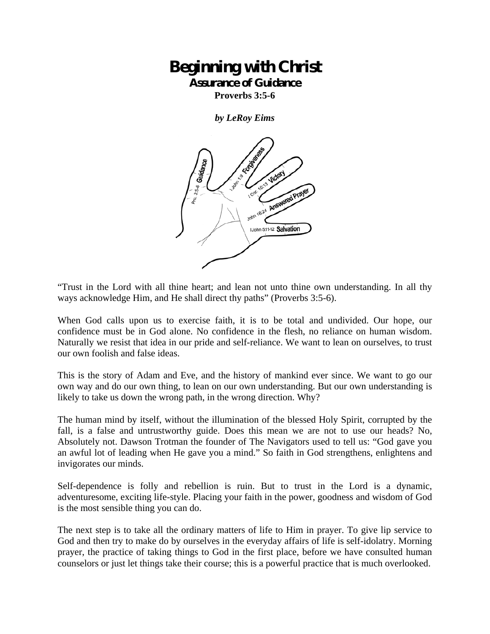## **Beginning with Christ Assurance of Guidance**

**Proverbs 3:5-6** 

*by LeRoy Eims* 



"Trust in the Lord with all thine heart; and lean not unto thine own understanding. In all thy ways acknowledge Him, and He shall direct thy paths" (Proverbs 3:5-6).

When God calls upon us to exercise faith, it is to be total and undivided. Our hope, our confidence must be in God alone. No confidence in the flesh, no reliance on human wisdom. Naturally we resist that idea in our pride and self-reliance. We want to lean on ourselves, to trust our own foolish and false ideas.

This is the story of Adam and Eve, and the history of mankind ever since. We want to go our own way and do our own thing, to lean on our own understanding. But our own understanding is likely to take us down the wrong path, in the wrong direction. Why?

The human mind by itself, without the illumination of the blessed Holy Spirit, corrupted by the fall, is a false and untrustworthy guide. Does this mean we are not to use our heads? No, Absolutely not. Dawson Trotman the founder of The Navigators used to tell us: "God gave you an awful lot of leading when He gave you a mind." So faith in God strengthens, enlightens and invigorates our minds.

Self-dependence is folly and rebellion is ruin. But to trust in the Lord is a dynamic, adventuresome, exciting life-style. Placing your faith in the power, goodness and wisdom of God is the most sensible thing you can do.

The next step is to take all the ordinary matters of life to Him in prayer. To give lip service to God and then try to make do by ourselves in the everyday affairs of life is self-idolatry. Morning prayer, the practice of taking things to God in the first place, before we have consulted human counselors or just let things take their course; this is a powerful practice that is much overlooked.